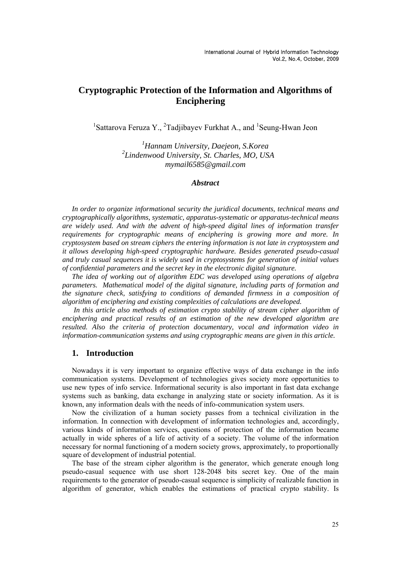# **Cryptographic Protection of the Information and Algorithms of Enciphering**

<sup>1</sup>Sattarova Feruza Y., <sup>2</sup>Tadjibayev Furkhat A., and <sup>1</sup>Seung-Hwan Jeon

*1 Hannam University, Daejeon, S.Korea 2 Lindenwood University, St. Charles, MO, USA mymail6585@gmail.com* 

## *Abstract*

*In order to organize informational security the juridical documents, technical means and cryptographically algorithms, systematic, apparatus-systematic or apparatus-technical means are widely used. And with the advent of high-speed digital lines of information transfer requirements for cryptographic means of enciphering is growing more and more. In cryptosystem based on stream ciphers the entering information is not late in cryptosystem and it allows developing high-speed cryptographic hardware. Besides generated pseudo-casual and truly casual sequences it is widely used in cryptosystems for generation of initial values of confidential parameters and the secret key in the electronic digital signature.* 

*The idea of working out of algorithm EDC was developed using operations of algebra parameters. Mathematical model of the digital signature, including parts of formation and the signature check, satisfying to conditions of demanded firmness in a composition of algorithm of enciphering and existing complexities of calculations are developed.* 

 *In this article also methods of estimation crypto stability of stream cipher algorithm of enciphering and practical results of an estimation of the new developed algorithm are resulted. Also the criteria of protection documentary, vocal and information video in information-communication systems and using cryptographic means are given in this article.* 

# **1. Introduction**

Nowadays it is very important to organize effective ways of data exchange in the info communication systems. Development of technologies gives society more opportunities to use new types of info service. Informational security is also important in fast data exchange systems such as banking, data exchange in analyzing state or society information. As it is known, any information deals with the needs of info-communication system users.

Now the civilization of a human society passes from a technical civilization in the information. In connection with development of information technologies and, accordingly, various kinds of information services, questions of protection of the information became actually in wide spheres of a life of activity of a society. The volume of the information necessary for normal functioning of a modern society grows, approximately, to proportionally square of development of industrial potential.

The base of the stream cipher algorithm is the generator, which generate enough long pseudo-casual sequence with use short 128-2048 bits secret key. One of the main requirements to the generator of pseudo-casual sequence is simplicity of realizable function in algorithm of generator, which enables the estimations of practical crypto stability. Is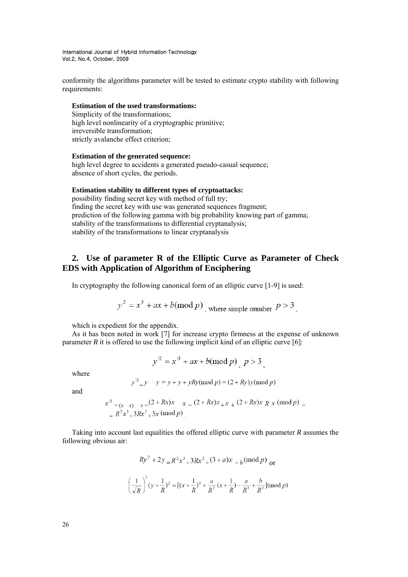conformity the algorithms parameter will be tested to estimate crypto stability with following requirements:

#### **Estimation of the used transformations:**

Simplicity of the transformations; high level nonlinearity of a cryptographic primitive; irreversible transformation; strictly avalanche effect criterion;

# **Estimation of the generated sequence:**

high level degree to accidents a generated pseudo-casual sequence; absence of short cycles, the periods.

#### **Estimation stability to different types of cryptoattacks:**

possibility finding secret key with method of full try; finding the secret key with use was generated sequences fragment; prediction of the following gamma with big probability knowing part of gamma; stability of the transformations to differential cryptanalysis; stability of the transformations to linear cryptanalysis

# **2. Use of parameter R of the Elliptic Curve as Parameter of Check EDS with Application of Algorithm of Enciphering**

In cryptography the following canonical form of an elliptic curve [1-9] is used:

$$
y^2 = x^3 + ax + b \pmod{p}
$$
, where simple number  $P > 3$ ,

which is expedient for the appendix.

As it has been noted in work [7] for increase crypto firmness at the expense of unknown parameter  $R$  it is offered to use the following implicit kind of an elliptic curve [6]:

$$
y^2 = x^3 + ax + b \pmod{p}, \ p > 3
$$

where

$$
y^2 = y
$$
  $y = y + y + yRy \pmod{p} = (2 + Ry)y \pmod{p}$ 

and

$$
x^3 = (x-x) - x = (2 + Rx)x - x = (2 + Rx)x + x + (2 + Rx)x R x \pmod{p}
$$
  
=  $R^2x^3 + 3Rx^2 + 3x \pmod{p}$ 

Taking into account last equalities the offered elliptic curve with parameter *R* assumes the following obvious air:

$$
Ry^2 + 2y = R^2x^3 + 3Rx^2 + (3+a)x + b \pmod{p}
$$
or
$$
\left(\frac{1}{\sqrt{R}}\right)^2 (y + \frac{1}{R})^2 = \left[ (x + \frac{1}{R})^3 + \frac{a}{R^2} (x + \frac{1}{R}) - \frac{a}{R^3} + \frac{b}{R^2} \right] (\text{mod } p)
$$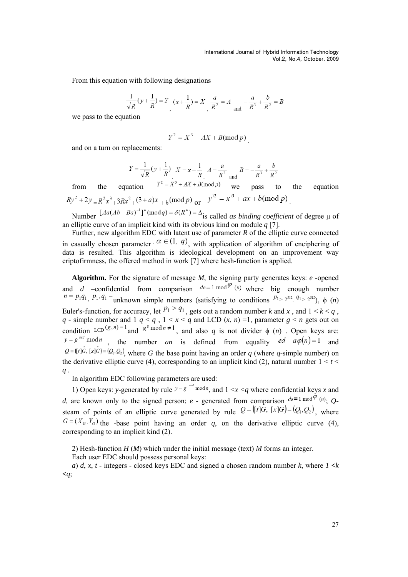From this equation with following designations

$$
\frac{1}{\sqrt{R}}(y + \frac{1}{R}) = Y \left(x + \frac{1}{R}\right) = X \left(\frac{a}{R^2}\right) = A \left(\frac{a}{R^3} + \frac{b}{R^2}\right) = B
$$

we pass to the equation

$$
Y^2 = X^3 + AX + B(\text{mod } p)
$$

and on a turn on replacements:

$$
Y = \frac{1}{\sqrt{R}}(y + \frac{1}{R})
$$
  
  $X = x + \frac{1}{R}$   
  $A = \frac{a}{R^2}$  and  $B = -\frac{a}{R^3} + \frac{b}{R^2}$ 

from the equation  $Y^2 = X^3 + AX + B(\text{mod } p)$  we pass to the equation  $Ry^2 + 2y = R^2x^3 + 3Rx^2 + (3 + a)x + b \pmod{p}$  or  $y^2 = x^3 + ax + b \pmod{p}$ 

Number  $[Aa(Ab - Ba)^{-1}]^{\mu}$  (mod*q*) = δ(R<sup>*u*</sup>) = Δ</sup><sub>is</sub> called *as binding coefficient* of degree μ of an elliptic curve of an implicit kind with its obvious kind on module *q* [7].

Further, new algorithm EDC with latent use of parameter *R* of the elliptic curve connected in casually chosen parameter  $\alpha \in (1, q)$ , with application of algorithm of enciphering of data is resulted. This algorithm is ideological development on an improvement way criptofirmness, the offered method in work [7] where hesh-function is applied.

**Algorithm.** For the signature of message *M*, the signing party generates keys: *e* -opened and *d* –confidential from comparison  $de \equiv 1 \mod \varphi$  (*n*) where big enough number  $n = p_1 q_1, p_1, q_1$  – unknown simple numbers (satisfying to conditions  $p_1 > 2^{512}, q_1 > 2^{512}$ ),  $\phi(n)$ Euler's-function, for accuracy, let  $P_1 > q_1$ , gets out a random number *k* and *x*, and  $1 < k < q$ , *q* - simple number and 1  $q < q$ ,  $1 < x < q$  and LCD  $(x, n) = 1$ , parameter  $g < n$  gets out on condition LCD<sup>(g, n)</sup> = 1 and  $g^q$  mod  $n \neq 1$ , and also q is not divider  $\phi$  (n). Open keys are:  $y = g^{axd} \mod n$ , the number *an* is defined from equality  $ed - a\varphi(n) = 1$  and  $Q = (r \hat{G}, [x] \hat{G}) = (Q_1, Q_2)$ , where *G* the base point having an order *q* (where *q*-simple number) on the derivative elliptic curve (4), corresponding to an implicit kind (2), natural number  $1 \le t \le$ *q* .

In algorithm EDC following parameters are used:

1) Open keys: *y*-generated by rule  $y = g^{i\omega d} \mod n$ , and  $1 \le x \le a$  where confidential keys *x* and *d*, are known only to the signed person; *e* - generated from comparison  $de^{\equiv 1 \mod \varphi}$  (n); *Q*steam of points of an elliptic curve generated by rule  $Q = (t|\vec{G}, [x]G) = (Q_1, Q_2)$ , where  $G = (X_G, Y_G)$  the -base point having an order *q*, on the derivative elliptic curve (4), corresponding to an implicit kind (2).

2) Hesh-function *H* (*M*) which under the initial message (text) *M* forms an integer.

Each user EDC should possess personal keys:

*a*) *d*, *x*, *t* - integers - closed keys EDC and signed a chosen random number *k*, where  $1 \le k$ *<q*;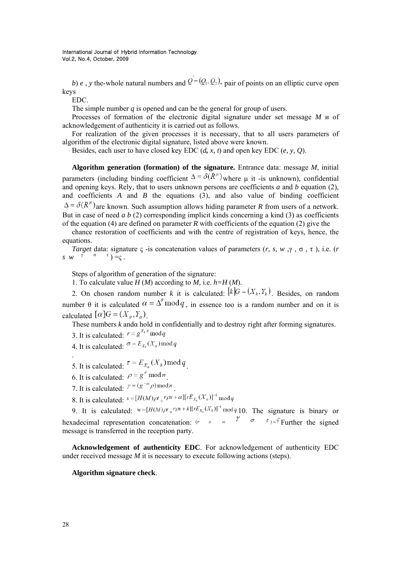*b*) *e*, *y* the-whole natural numbers and  $Q = (Q_1, Q_2)$  pair of points on an elliptic curve open keys

EDC.

The simple number *q* is opened and can be the general for group of users.

Processes of formation of the electronic digital signature under set message *M* и of acknowledgement of authenticity it is carried out as follows.

For realization of the given processes it is necessary, that to all users parameters of algorithm of the electronic digital signature, listed above were known.

Besides, each user to have closed key EDC (*d, x, t*) and open key EDC (*e, y, Q*).

**Algorithm generation (formation) of the signature.** Entrance data: message *M*, initial parameters (including binding coefficient  $\Delta = \delta(R^{\mu})$  where u it -is unknown), confidential and opening keys. Rely, that to users unknown persons are coefficients *a* and *b* equation (2), and coefficients  $A$  and  $B$  the equations  $(3)$ , and also value of binding coefficient  $\Delta = \delta(R^{\mu})$  are known. Such assumption allows hiding parameter *R* from users of a network. But in case of need *a b* (2) corresponding implicit kinds concerning a kind (3) as coefficients of the equation (4) are defined on parameter *R* with coefficients of the equation (2) give the

chance restoration of coefficients and with the centre of registration of keys, hence, the equations.

*Target* data: signature  $\varsigma$  -is concatenation values of parameters  $(r, s, w, \gamma, \sigma, \tau)$ , i.e.  $(r, \tau)$  $s \, w \, v \, \tilde{v} \, \sigma \, t$  =  $\zeta$ .

Steps of algorithm of generation of the signature:

1. To calculate value  $H(M)$  according to  $M$ , i.e.  $h=H(M)$ .

2. On chosen random number *k* it is calculated:  $\left[k\right]G = (X_k, Y_k)$ . Besides, on random number  $\theta$  it is calculated  $\alpha = \Delta^{\theta} \mod q$ , in essence too is a random number and on it is calculated  $[\alpha]G = (X_{\alpha}, Y_{\alpha})$ 

These numbers *k* andα hold in confidentially and to destroy right after forming signatures.

3. It is calculated:  $r = g^{X_k d} \mod q$ 

4. It is calculated:  $\sigma = E_{X_k}(X_\alpha) \mod q$ 

5. It is calculated:  $e^{-E_{X_\alpha}(X_k)\operatorname{mod} q}$ .

- 6. It is calculated:  $\rho = g^d \mod n$
- 7. It is calculated:  $\gamma = (g^{-\alpha x} \rho) \bmod n$
- 8. It is calculated:  $s = [H(M)\rho t + r\rho x + \alpha][rE_{X_k}(X_{\alpha})]^{-1} \mod q$

9. It is calculated:  $w=[H(M)\rho t_+r\rho x+k][rE_{x_s}(X_k)]^{-1} \bmod q$  10. The signature is binary or hexadecimal representation concatenation:  $(r \cdot s \cdot w)$   $\frac{\gamma}{\sigma}$   $\frac{\sigma}{\sigma}$   $\frac{\tau}{\tau} = \frac{\sigma}{r}$  Further the signed message is transferred in the reception party.

**Acknowledgement of authenticity EDC**. For acknowledgement of authenticity EDC under received message *M* it is necessary to execute following actions (steps).

#### **Algorithm signature check**.

.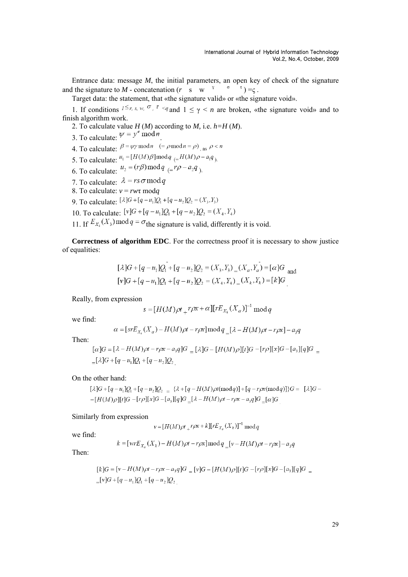Entrance data: message *M*, the initial parameters, an open key of check of the signature and the signature to *M* - concatenation  $(r \ s \ w^3 \ \sigma^1) = \zeta$ .

Target data: the statement, that «the signature valid» or «the signature void».

1. If conditions  $1 \leq r, s, w, \sigma, \tau \leq q$  and  $1 \leq \gamma \leq n$  are broken, «the signature void» and to finish algorithm work.

2. To calculate value  $H(M)$  according to  $M$ , i.e.  $h=H(M)$ .

- 3. To calculate:  $\psi = y^e \mod n$
- 4. To calculate:  $\beta = \psi \gamma \mod n$  (=  $\rho \mod n = \rho$ ) as  $\rho < n$
- 5. To calculate:  $u_1 = [H(M)\beta] \text{mod} q$   $\in H(M)\rho a_1 q$ .
- 6. To calculate:  $u_2 = (r\beta) \mod q$   $\in r\rho a_2q$ ).
- 7. To calculate:  $\lambda = rs \sigma \bmod q$
- 8. To calculate: *v* = *rw*τ mod*q*
- 9. To calculate:  $[\lambda]G + [q u_1]Q_1 + [q u_2]Q_2 = (X_3, Y_3)$
- 10. To calculate:  $[v]G + [q u_1]Q_1 + [q u_2]Q_2 = (X_4, Y_4)$
- 11. If  $E_{X_4}(X_3) \mod q = \sigma$  the signature is valid, differently it is void.

**Correctness of algorithm EDC**. For the correctness proof it is necessary to show justice of equalities:

$$
[\lambda]G + [q - u_1]Q_1 + [q - u_2]Q_2 = (X_3, Y_3) = (X_\alpha, Y_\alpha) = [\alpha]G
$$
  

$$
[v]G + [q - u_1]Q_1 + [q - u_2]Q_2 = (X_4, Y_4) = (X_k, Y_k) = [k]G
$$

Really, from expression

$$
s = [H(M)\rho t + r\rho x + \alpha][rE_{X_k}(X_{\alpha})]^{-1} \bmod q
$$

we find:

$$
\alpha = [srE_{X_k}(X_{\alpha}) - H(M)\rho t - r\rho x] \bmod q = [\lambda - H(M)\rho t - r\rho x] - a_3q
$$

Then:

$$
[\alpha]G = [\lambda - H(M)\rho t - r\rho x - a_3q]G = [\lambda]G - [H(M)\rho][t]G - [r\rho][x]G - [a_3][q]G =
$$
  
=  $[\lambda]G + [q - u_1]Q_1 + [q - u_2]Q_2$ 

On the other hand:

 $[\lambda]G + [q - u_1]Q_1 + [q - u_2]Q_2 = {\lambda + [q - H(M)\rho t(\text{mod }q)] + [q - r\rho x(\text{mod }q)] }G = [\lambda]G -[H(M)\rho][t]G-[r\rho][x]G-[a,][q]G=[\lambda-H(M)\rho t-r\rho x-a,q]G=[\alpha]G$ 

Similarly from expression

$$
v = [H(M)\rho t + r\rho x + k][rE_{X_a}(X_k)]^{-1} \text{ mod } q
$$

we find:

$$
k = [w r E_{X_a}(X_k) - H(M)\rho t - r\rho x] \bmod q_{\mu} [v - H(M)\rho t - r\rho x] - a_3 q
$$

Then:

$$
[k]G = [\nu - H(M)\rho t - r\rho x - a_3 q]G = [\nu]G - [H(M)\rho][t]G - [r\rho][x]G - [a_3][q]G = [r]G + [q - u_1]Q_1 + [q - u_2]Q_2
$$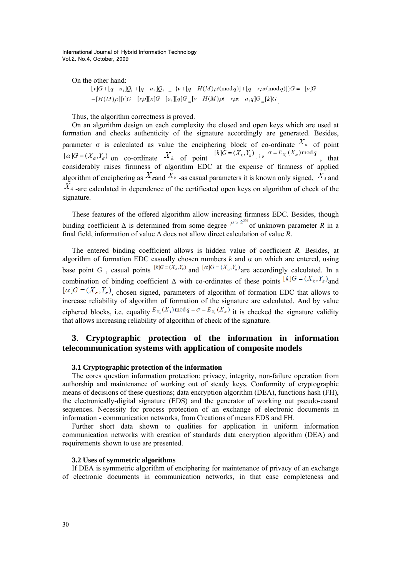On the other hand:

$$
[v]G + [q - u_1]Q_1 + [q - u_2]Q_2 = \{v + [q - H(M)\rho t(\text{mod }q)] + [q - r\rho x(\text{mod }q)]\}G = [v]G - [H(M)\rho][t]G - [r\rho][x]G - [a_3][q]G = [v - H(M)\rho t - r\rho x - a_3q]G = [k]G
$$

Thus, the algorithm correctness is proved.

On an algorithm design on each complexity the closed and open keys which are used at formation and checks authenticity of the signature accordingly are generated. Besides, parameter  $\sigma$  is calculated as value the enciphering block of co-ordinate  $X_{\alpha}$  of point  $[\alpha]G = (X_{\alpha}, Y_{\alpha})$  or so and instead of point  $[K]G = (X_{\alpha}, Y_{\alpha})$  i.e.  $\sigma = E_{X_{\alpha}}(X_{\alpha})$  mod q  $[\alpha]G = (X_{\alpha}, Y_{\alpha})$  on co-ordinate  $X_k$  of point  $[k]G = (X_k, Y_k)$ , i.e.  $\sigma = E_{X_k}(X_{\alpha}) \mod q$ , that considerably raises firmness of algorithm EDC at the expense of firmness of applied algorithm of enciphering as  $X_{\alpha}$  and  $X_{\alpha}$  -as casual parameters it is known only signed,  $X_3$  and  $X_4$  -are calculated in dependence of the certificated open keys on algorithm of check of the signature.

These features of the offered algorithm allow increasing firmness EDC. Besides, though binding coefficient  $\Delta$  is determined from some degree  $\mu > 2^{256}$  of unknown parameter *R* in a final field, information of value Δ does not allow direct calculation of value *R.*

The entered binding coefficient allows is hidden value of coefficient *R.* Besides, at algorithm of formation EDC casually chosen numbers  $k$  and  $\alpha$  on which are entered, using base point *G*, casual points  $[k]$ <sup>*G*</sup> =  $(X_k, Y_k)$  and  $[\alpha]$ *G* =  $(X_\alpha, Y_\alpha)$  are accordingly calculated. In a combination of binding coefficient  $\Delta$  with co-ordinates of these points  $[k]G = (X_k, Y_k)$  and  $[\alpha]G = (X_{\alpha}, Y_{\alpha})$ , chosen signed, parameters of algorithm of formation EDC that allows to increase reliability of algorithm of formation of the signature are calculated. And by value ciphered blocks, i.e. equality  $E_{x_4}(X_3) \mod q = \sigma = E_{x_k}(X_\alpha)$  it is checked the signature validity that allows increasing reliability of algorithm of check of the signature.

# **3**. **Cryptographic protection of the information in information telecommunication systems with application of composite models**

#### **3.1 Cryptographic protection of the information**

The cores question information protection: privacy, integrity, non-failure operation from authorship and maintenance of working out of steady keys. Conformity of cryptographic means of decisions of these questions; data encryption algorithm (DEA), functions hash (FH), the electronically-digital signature (EDS) and the generator of working out pseudo-casual sequences. Necessity for process protection of an exchange of electronic documents in information - communication networks, from Creations of means EDS and FH.

Further short data shown to qualities for application in uniform information communication networks with creation of standards data encryption algorithm (DEA) and requirements shown to use are presented.

## **3.2 Uses of symmetric algorithms**

If DEA is symmetric algorithm of enciphering for maintenance of privacy of an exchange of electronic documents in communication networks, in that case completeness and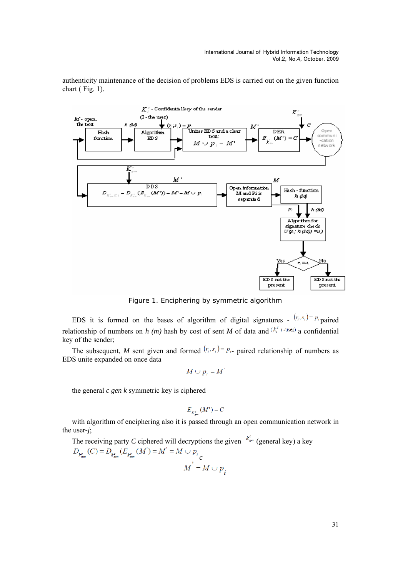authenticity maintenance of the decision of problems EDS is carried out on the given function chart (Fig. 1).



Figure 1. Enciphering by symmetric algorithm

EDS it is formed on the bases of algorithm of digital signatures -  $(r_i, s_i) = p_i$  paired relationship of numbers on *h (m)* hash by cost of sent *M* of data and  $(k_i^c i$ -user) a confidential key of the sender;

The subsequent, *M* sent given and formed  $(r_i, s_i) = p_i$ - paired relationship of numbers as EDS unite expanded on once data

$$
M\cup p_i=M
$$

the general *c gen k* symmetric key is ciphered

$$
E_{K^c} (M') = C
$$

with algorithm of enciphering also it is passed through an open communication network in the user*-j*;

The receiving party *C* ciphered will decryptions the given  $k_{\text{gen}}^c$  (general key) a key  $D_{k_{gen}^c}(C) = D_{k_{gen}^c}(E_{k_{gen}^c}(M') = M' = M \cup p_i$ <br> $M^{'} = M \cup p_i$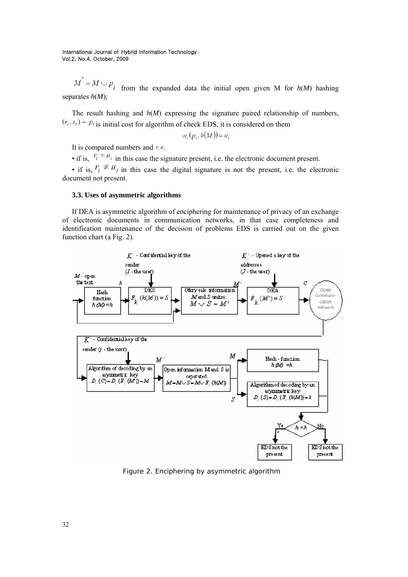$M' = M \cup P_i$  from the expanded data the initial open given M for  $h(M)$  hashing separates *h*(*M*);

The result hashing and  $h(M)$  expressing the signature paired relationship of numbers,  $(i<sub>i</sub>, s<sub>i</sub>) = p<sub>i</sub>$  is initial cost for algorithm of check EDS, it is considered on them

$$
u_i(p_i, h(M)) = u_i
$$

It is compared numbers and  $r_i u_i$ 

• if is,  $r_i = u_i$  in this case the signature present, i.e. the electronic document present.

• if is,  $r_i \neq u_i$  in this case the digital signature is not the present, i.e. the electronic document not present.

#### **3.3. Uses of asymmetric algorithms**

If DEA is asymmetric algorithm of enciphering for maintenance of privacy of an exchange of electronic documents in communication networks, in that case completeness and identification maintenance of the decision of problems EDS is carried out on the given function chart (a Fig. 2).



Figure 2. Enciphering by asymmetric algorithm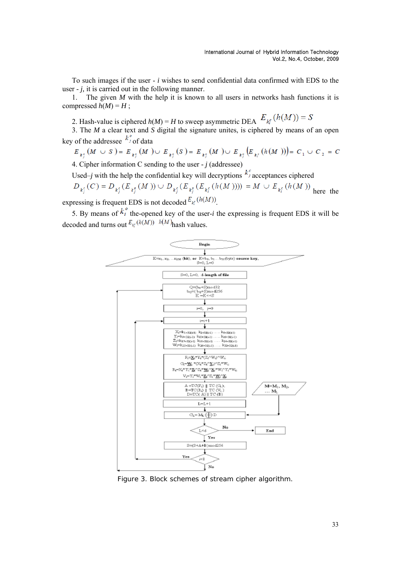To such images if the user - *i* wishes to send confidential data confirmed with EDS to the user - *j,* it is carried out in the following manner.

1. The given *M* with the help it is known to all users in networks hash functions it is compressed  $h(M) = H$ ;

2. Hash-value is ciphered  $h(M) = H$  to sweep asymmetric DEA  $E_{k_i^c}(h(M)) = S$ 

3. The *M* a clear text and *S* digital the signature unites, is ciphered by means of an open key of the addressee  $k_j^{\circ}$  of data

$$
E_{\lambda_j^o}(M \cup S) = E_{\lambda_j^o}(M) \cup E_{\lambda_j^o}(S) = E_{\lambda_j^o}(M) \cup E_{\lambda_j^o}(E_{\lambda_i^o}(h(M))) = C_1 \cup C_2 = C
$$

4. Cipher information C sending to the user - *j* (addressee)

Used–*j* with the help the confidential key will decryptions  $k_j^c$  acceptances ciphered

$$
D_{k_j^e}(C) = D_{k_j^e}(E_{k_j^e}(M)) \cup D_{k_j^e}(E_{k_j^e}(E_{k_i^e}(h(M)))) = M \cup E_{k_i^e}(h(M))
$$
 here the

expressing is frequent EDS is not decoded  $E_{k_i^c}(h(M))$ .

5. By means of  $k_i^{\circ}$  the-opened key of the user-*i* the expressing is frequent EDS it will be decoded and turns out  $E_{k}(h(M))$   $h(M)$  hash values.



Figure 3. Block schemes of stream cipher algorithm.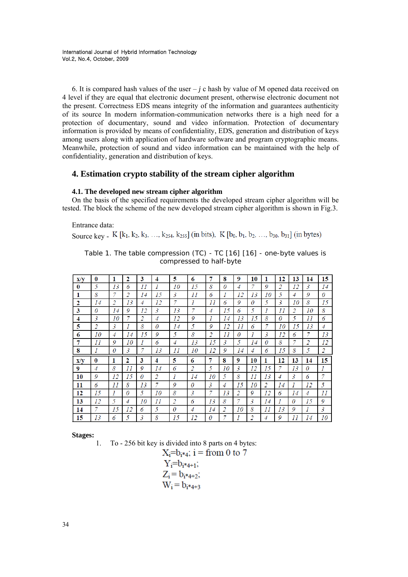6. It is compared hash values of the user  $-j$  c hash by value of M opened data received on 4 level if they are equal that electronic document present, otherwise electronic document not the present. Correctness EDS means integrity of the information and guarantees authenticity of its source In modern information-communication networks there is a high need for a protection of documentary, sound and video information. Protection of documentary information is provided by means of confidentiality, EDS, generation and distribution of keys among users along with application of hardware software and program cryptographic means. Meanwhile, protection of sound and video information can be maintained with the help of confidentiality, generation and distribution of keys.

# **4. Estimation crypto stability of the stream cipher algorithm**

## **4.1. The developed new stream cipher algorithm**

On the basis of the specified requirements the developed stream cipher algorithm will be tested. The block the scheme of the new developed stream cipher algorithm is shown in Fig.3.

Entrance data:

Source key - K [k<sub>1</sub>, k<sub>2</sub>, k<sub>3</sub>, ..., k<sub>254</sub>, k<sub>255</sub>] (in bits), K [b<sub>0</sub>, b<sub>1</sub>, b<sub>2</sub>, ..., b<sub>30</sub>, b<sub>31</sub>] (in bytes)

| $\mathbf{x}/\mathbf{v}$ | 0              | 1              | 2  | 3  | 4  | 5              | 6              | 7              | 8              | 9              | 10             | 1        | 12             | 13 | 14             | 15 |
|-------------------------|----------------|----------------|----|----|----|----------------|----------------|----------------|----------------|----------------|----------------|----------|----------------|----|----------------|----|
| $\bf{0}$                | 5              | 13             | 6  | 11 | 1  | 10             | 15             | 8              | 0              | 4              | 7              | 9        | 2              | 12 | 3              | 14 |
| 1                       | 8              | 7              | 2  | 14 | 15 | 3              | 11             | 6              | 1              | 12             | 13             | 10       | 5              | 4  | 9              | 0  |
| 2                       | 14             | 2              | 13 | 4  | 12 |                | 1              | 11             | 6              | 9              | 0              | 5        | 3              | 10 | 8              | 15 |
| 3                       | 0              | 14             | 9  | 12 | 3  | 13             | 7              | 4              | 15             | 6              | 5              |          | 11             | 2  | 10             | 8  |
| 4                       | 3              | 10             | 7  | 2  | 4  | 12             | 9              | 1              | 14             | 13             | 15             | 8        | 0              | 5  | 11             | 6  |
| 5                       | 2              | 3              | 1  | 8  | 0  | 14             | 5              | 9              | 12             | 11             | 6              | 7        | 10             | 15 | 13             | 4  |
| 6                       | 10             | $\overline{4}$ | 14 | 15 | 9  | 5              | 8              | 2              | 11             | 0              | 1              | 3        | 12             | 6  | 7              | 13 |
| 7                       | 11             | 9              | 10 | 1  | 6  | $\overline{4}$ | 13             | 15             | 3              | 5              | 14             | $\theta$ | 8              | 7  | $\overline{c}$ | 12 |
|                         |                |                |    |    |    |                |                |                |                |                |                |          |                |    |                |    |
| 8                       | 1              | 0              | 3  | 7  | 13 | 11             | 10             | 12             | 9              | 14             | $\overline{4}$ | 6        | 15             | 8  | 5              | 2  |
| $\mathbf{x}/\mathbf{v}$ | 0              | 1              | 2  | 3  | 4  | 5              | 6              | 7              | 8              | 9              | 10             | 1        | 12             | 13 | 14             | 15 |
| 9                       | $\overline{4}$ | 8              | 11 | 9  | 14 | 6              | $\overline{2}$ | 5              | 10             | $\overline{3}$ | 12             | 15       | 7              | 13 | $\theta$       | 1  |
| 10                      | 9              | 12             | 15 | 0  | 2  | 1              | 14             | 10             | 5              | 8              | 11             | 13       | $\overline{4}$ | 3  | 6              | 7  |
| 11                      | 6              | 11             | 8  | 13 | 7  | 9              | 0              | $\mathfrak{Z}$ | $\overline{4}$ | 15             | 10             | 2        | 14             |    | 12             | 5  |
| 12                      | 15             | 1              | 0  | 5  | 10 | 8              | 3              | 7              | 13             | 2              | 9              | 12       | 6              | 14 | 4              | 11 |
| 13                      | 12             | 5              | 4  | 10 | 11 | 2              | 6              | 13             | 8              | 7              | 3              | 14       |                | 0  | 15             | 9  |
| 14                      | 7              | 15             | 12 | 6  | 5  | 0              | $\overline{4}$ | 14             | 2              | 10             | 8              | 11       | 13             | 9  | 1              | 3  |

Table 1. The table compression (TC) - TC [16] [16] - one-byte values is compressed to half-byte

**Stages:** 

1. To - 256 bit key is divided into 8 parts on 4 bytes:<br> $X:=b_{0} \cdot x_{0}$ :  $\mathbf{i} = \mathbf{f} \cdot \mathbf{f}$  on 0 to 7

$$
X_i = b_i * 4; \ i = \text{from } 0 \\ Y_i = b_i * 4 + i;
$$

$$
Z_i = b_{i^*4+2};
$$
  
W<sub>i</sub> = b<sub>i^\*4+3</sub>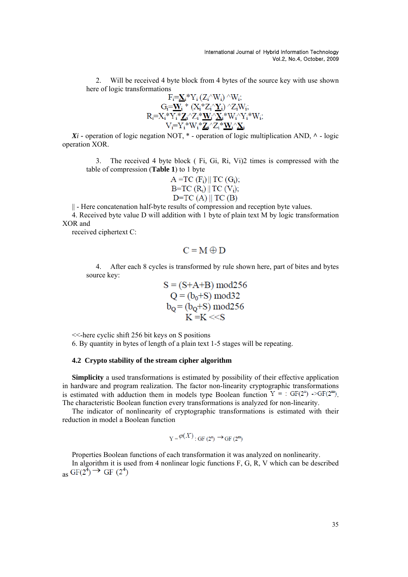2. Will be received 4 byte block from 4 bytes of the source key with use shown here of logic transformations

$$
F_i = \underline{\mathbf{X}}_i^* Y_i (Z_i' \mathbf{W}_i) \wedge W_i; \nG_i = \underline{\mathbf{W}}_i^* (X_i^* Z_i' \underline{\mathbf{Y}}_i) \wedge Z_i W_i; \nR_i = X_i^* Y_i^* \underline{\mathbf{Z}}_i' Z_i^* \underline{\mathbf{W}}_i' \underline{\mathbf{X}}_i^* W_i' Y_i^* W_i; \nV_i = Y_i^* W_i^* \underline{\mathbf{Z}}_i' Z_i^* \underline{\mathbf{W}}_i' \underline{\mathbf{X}}_i
$$

 $Xi$  *Xi* – operation of logic negation NOT,  $*$  – operation of logic multiplication AND,  $\wedge$  – logic operation XOR.

3. The received 4 byte block ( Fi, Gi, Ri, Vi)2 times is compressed with the table of compression (**Table 1**) to 1 byte

$$
A = TC (F_i) \parallel TC (G_i);
$$
  
 
$$
B = TC (R_i) \parallel TC (V_i);
$$
  
 
$$
D = TC (A) \parallel TC (B)
$$

|| - Here concatenation half-byte results of compression and reception byte values.

4. Received byte value D will addition with 1 byte of plain text M by logic transformation XOR and

received ciphertext C:

$$
C = M \oplus D
$$

4. After each 8 cycles is transformed by rule shown here, part of bites and bytes source key:

$$
S = (S+A+B) \mod 256
$$
  
Q = (b<sub>0</sub>+S) mod 32  

$$
b_Q = (b_Q+S) \mod 256
$$
  
K = K < < S

<<-here cyclic shift 256 bit keys on S positions

6. By quantity in bytes of length of a plain text 1-5 stages will be repeating.

## **4.2 Crypto stability of the stream cipher algorithm**

**Simplicity** a used transformations is estimated by possibility of their effective application in hardware and program realization. The factor non-linearity cryptographic transformations is estimated with adduction them in models type Boolean function  $Y = : GF(2^n) \rightarrow GF(2^m)$ . The characteristic Boolean function every transformations is analyzed for non-linearity.

The indicator of nonlinearity of cryptographic transformations is estimated with their reduction in model a Boolean function

$$
Y = \mathcal{P}(X) : GF(2^n) \to GF(2^m)
$$

Properties Boolean functions of each transformation it was analyzed on nonlinearity. In algorithm it is used from 4 nonlinear logic functions F, G, R, V which can be described as  $GF(2^4) \rightarrow GF(2^4)$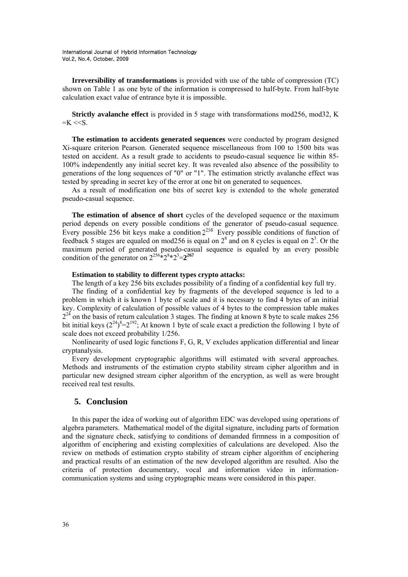**Irreversibility of transformations** is provided with use of the table of compression (TC) shown on Table 1 as one byte of the information is compressed to half-byte. From half-byte calculation exact value of entrance byte it is impossible.

**Strictly avalanche effect** is provided in 5 stage with transformations mod256, mod32, K  $=$ K  $<<$ S.

**The estimation to accidents generated sequences** were conducted by program designed Xi-square criterion Pearson. Generated sequence miscellaneous from 100 to 1500 bits was tested on accident. As a result grade to accidents to pseudo-casual sequence lie within 85- 100% independently any initial secret key. It was revealed also absence of the possibility to generations of the long sequences of "0" or "1". The estimation strictly avalanche effect was tested by spreading in secret key of the error at one bit on generated to sequences.

As a result of modification one bits of secret key is extended to the whole generated pseudo-casual sequence.

**The estimation of absence of short** cycles of the developed sequence or the maximum period depends on every possible conditions of the generator of pseudo-casual sequence. Every possible 256 bit keys make a condition  $2^{256}$ . Every possible conditions of function of feedback 5 stages are equaled on mod256 is equal on  $2^8$  and on 8 cycles is equal on  $2^3$ . Or the maximum period of generated pseudo-casual sequence is equaled by an every possible condition of the generator on  $2^{256}$  $\hat{x}$  $2^{8}$  $\times$  $2^{3}$  $=$  $2^{267}$ 

## **Estimation to stability to different types crypto attacks:**

The length of a key 256 bits excludes possibility of a finding of a confidential key full try.

The finding of a confidential key by fragments of the developed sequence is led to a problem in which it is known 1 byte of scale and it is necessary to find 4 bytes of an initial key. Complexity of calculation of possible values of 4 bytes to the compression table makes  $2^{24}$  on the basis of return calculation 3 stages. The finding at known 8 byte to scale makes 256 bit initial keys  $(2^{24})^8 = 2^{192}$ ; At known 1 byte of scale exact a prediction the following 1 byte of scale does not exceed probability 1/256.

Nonlinearity of used logic functions F, G, R, V excludes application differential and linear cryptanalysis.

Every development cryptographic algorithms will estimated with several approaches. Methods and instruments of the estimation crypto stability stream cipher algorithm and in particular new designed stream cipher algorithm of the encryption, as well as were brought received real test results.

# **5. Conclusion**

In this paper the idea of working out of algorithm EDC was developed using operations of algebra parameters. Mathematical model of the digital signature, including parts of formation and the signature check, satisfying to conditions of demanded firmness in a composition of algorithm of enciphering and existing complexities of calculations are developed. Also the review on methods of estimation crypto stability of stream cipher algorithm of enciphering and practical results of an estimation of the new developed algorithm are resulted. Also the criteria of protection documentary, vocal and information video in informationcommunication systems and using cryptographic means were considered in this paper.